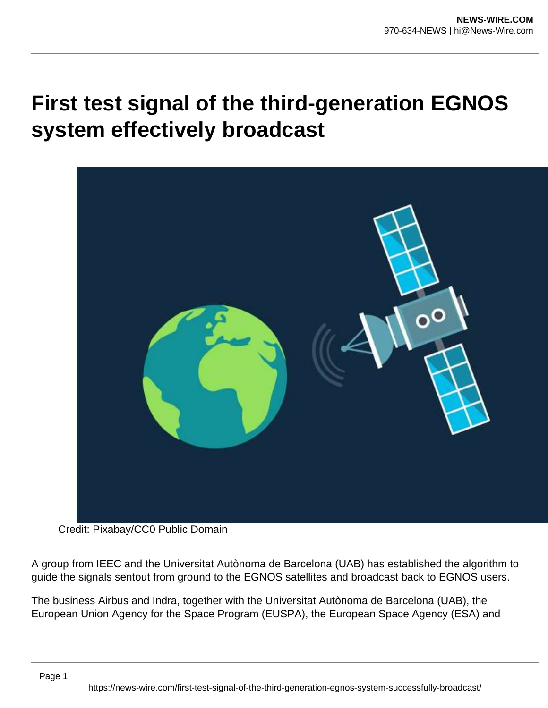## **First test signal of the third-generation EGNOS system effectively broadcast**



Credit: Pixabay/CC0 Public Domain

A group from IEEC and the Universitat Autònoma de Barcelona (UAB) has established the algorithm to guide the signals sentout from ground to the EGNOS satellites and broadcast back to EGNOS users.

The business Airbus and Indra, together with the Universitat Autònoma de Barcelona (UAB), the European Union Agency for the Space Program (EUSPA), the European Space Agency (ESA) and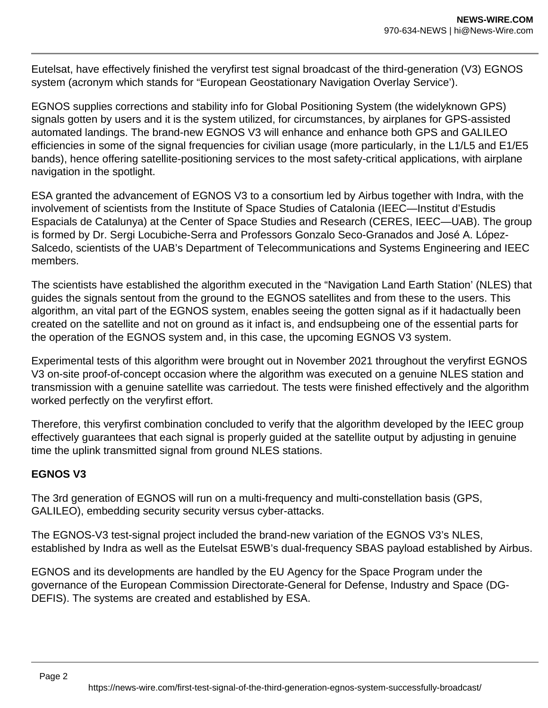Eutelsat, have effectively finished the veryfirst test signal broadcast of the third-generation (V3) EGNOS system (acronym which stands for "European Geostationary Navigation Overlay Service').

EGNOS supplies corrections and stability info for Global Positioning System (the widelyknown GPS) signals gotten by users and it is the system utilized, for circumstances, by airplanes for GPS-assisted automated landings. The brand-new EGNOS V3 will enhance and enhance both GPS and GALILEO efficiencies in some of the signal frequencies for civilian usage (more particularly, in the L1/L5 and E1/E5 bands), hence offering satellite-positioning services to the most safety-critical applications, with airplane navigation in the spotlight.

ESA granted the advancement of EGNOS V3 to a consortium led by Airbus together with Indra, with the involvement of scientists from the Institute of Space Studies of Catalonia (IEEC—Institut d'Estudis Espacials de Catalunya) at the Center of Space Studies and Research (CERES, IEEC—UAB). The group is formed by Dr. Sergi Locubiche-Serra and Professors Gonzalo Seco-Granados and José A. López-Salcedo, scientists of the UAB's Department of Telecommunications and Systems Engineering and IEEC members.

The scientists have established the algorithm executed in the "Navigation Land Earth Station' (NLES) that guides the signals sentout from the ground to the EGNOS satellites and from these to the users. This algorithm, an vital part of the EGNOS system, enables seeing the gotten signal as if it hadactually been created on the satellite and not on ground as it infact is, and endsupbeing one of the essential parts for the operation of the EGNOS system and, in this case, the upcoming EGNOS V3 system.

Experimental tests of this algorithm were brought out in November 2021 throughout the veryfirst EGNOS V3 on-site proof-of-concept occasion where the algorithm was executed on a genuine NLES station and transmission with a genuine satellite was carriedout. The tests were finished effectively and the algorithm worked perfectly on the veryfirst effort.

Therefore, this veryfirst combination concluded to verify that the algorithm developed by the IEEC group effectively guarantees that each signal is properly guided at the satellite output by adjusting in genuine time the uplink transmitted signal from ground NLES stations.

## **EGNOS V3**

The 3rd generation of EGNOS will run on a multi-frequency and multi-constellation basis (GPS, GALILEO), embedding security security versus cyber-attacks.

The EGNOS-V3 test-signal project included the brand-new variation of the EGNOS V3's NLES, established by Indra as well as the Eutelsat E5WB's dual-frequency SBAS payload established by Airbus.

EGNOS and its developments are handled by the EU Agency for the Space Program under the governance of the European Commission Directorate-General for Defense, Industry and Space (DG-DEFIS). The systems are created and established by ESA.